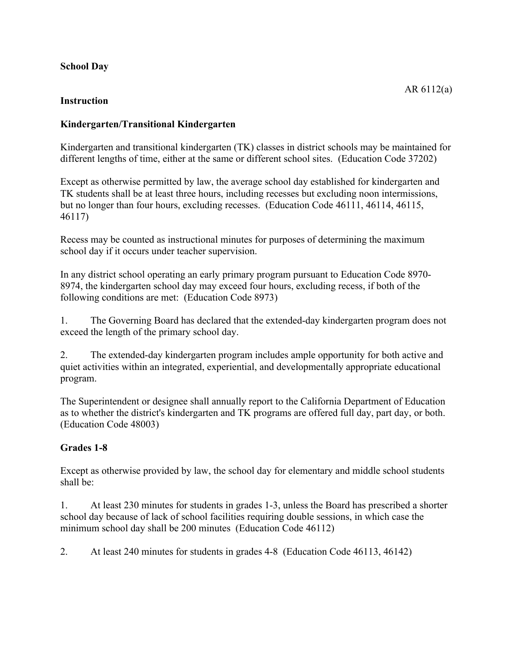## **School Day**

## **Instruction**

## **Kindergarten/Transitional Kindergarten**

Kindergarten and transitional kindergarten (TK) classes in district schools may be maintained for different lengths of time, either at the same or different school sites. (Education Code 37202)

Except as otherwise permitted by law, the average school day established for kindergarten and TK students shall be at least three hours, including recesses but excluding noon intermissions, but no longer than four hours, excluding recesses. (Education Code 46111, 46114, 46115, 46117)

Recess may be counted as instructional minutes for purposes of determining the maximum school day if it occurs under teacher supervision.

In any district school operating an early primary program pursuant to Education Code 8970- 8974, the kindergarten school day may exceed four hours, excluding recess, if both of the following conditions are met: (Education Code 8973)

1. The Governing Board has declared that the extended-day kindergarten program does not exceed the length of the primary school day.

2. The extended-day kindergarten program includes ample opportunity for both active and quiet activities within an integrated, experiential, and developmentally appropriate educational program.

The Superintendent or designee shall annually report to the California Department of Education as to whether the district's kindergarten and TK programs are offered full day, part day, or both. (Education Code 48003)

## **Grades 1-8**

Except as otherwise provided by law, the school day for elementary and middle school students shall be:

1. At least 230 minutes for students in grades 1-3, unless the Board has prescribed a shorter school day because of lack of school facilities requiring double sessions, in which case the minimum school day shall be 200 minutes (Education Code 46112)

2. At least 240 minutes for students in grades 4-8 (Education Code 46113, 46142)